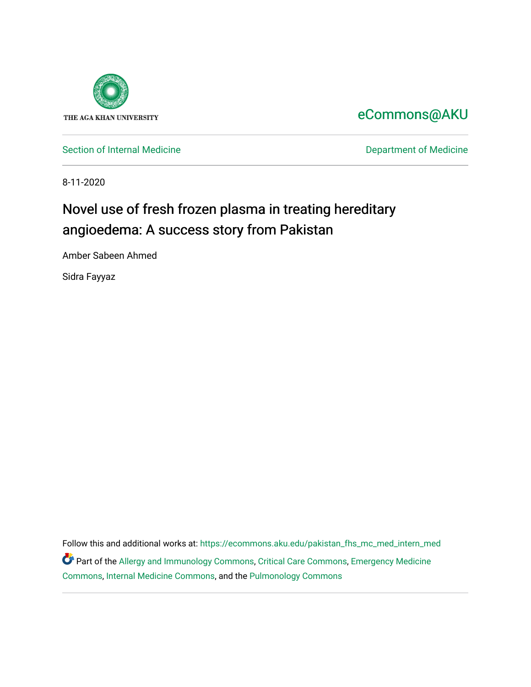

[eCommons@AKU](https://ecommons.aku.edu/) 

[Section of Internal Medicine](https://ecommons.aku.edu/pakistan_fhs_mc_med_intern_med) **Department of Medicine** Department of Medicine

8-11-2020

# Novel use of fresh frozen plasma in treating hereditary angioedema: A success story from Pakistan

Amber Sabeen Ahmed

Sidra Fayyaz

Follow this and additional works at: [https://ecommons.aku.edu/pakistan\\_fhs\\_mc\\_med\\_intern\\_med](https://ecommons.aku.edu/pakistan_fhs_mc_med_intern_med?utm_source=ecommons.aku.edu%2Fpakistan_fhs_mc_med_intern_med%2F173&utm_medium=PDF&utm_campaign=PDFCoverPages)  Part of the [Allergy and Immunology Commons](http://network.bepress.com/hgg/discipline/681?utm_source=ecommons.aku.edu%2Fpakistan_fhs_mc_med_intern_med%2F173&utm_medium=PDF&utm_campaign=PDFCoverPages), [Critical Care Commons](http://network.bepress.com/hgg/discipline/1226?utm_source=ecommons.aku.edu%2Fpakistan_fhs_mc_med_intern_med%2F173&utm_medium=PDF&utm_campaign=PDFCoverPages), [Emergency Medicine](http://network.bepress.com/hgg/discipline/685?utm_source=ecommons.aku.edu%2Fpakistan_fhs_mc_med_intern_med%2F173&utm_medium=PDF&utm_campaign=PDFCoverPages) [Commons](http://network.bepress.com/hgg/discipline/685?utm_source=ecommons.aku.edu%2Fpakistan_fhs_mc_med_intern_med%2F173&utm_medium=PDF&utm_campaign=PDFCoverPages), [Internal Medicine Commons,](http://network.bepress.com/hgg/discipline/1356?utm_source=ecommons.aku.edu%2Fpakistan_fhs_mc_med_intern_med%2F173&utm_medium=PDF&utm_campaign=PDFCoverPages) and the [Pulmonology Commons](http://network.bepress.com/hgg/discipline/1363?utm_source=ecommons.aku.edu%2Fpakistan_fhs_mc_med_intern_med%2F173&utm_medium=PDF&utm_campaign=PDFCoverPages)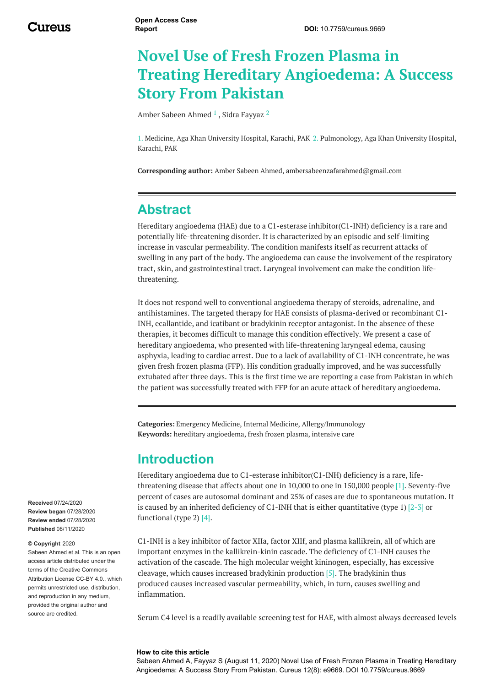# **Novel Use of Fresh Frozen Plasma in Treating Hereditary Angioedema: A Success Story From Pakistan**

Amber Sabeen [Ahmed](https://www.cureus.com/users/170047-amber-sabeen-ahmed)  $^1$  , Sidra [Fayyaz](https://www.cureus.com/users/179163-sidra-fayyaz)  $^2$ 

1. Medicine, Aga Khan University Hospital, Karachi, PAK 2. Pulmonology, Aga Khan University Hospital, Karachi, PAK

**Corresponding author:** Amber Sabeen Ahmed, ambersabeenzafarahmed@gmail.com

#### **Abstract**

Hereditary angioedema (HAE) due to a C1-esterase inhibitor(C1-INH) deficiency is a rare and potentially life-threatening disorder. It is characterized by an episodic and self-limiting increase in vascular permeability. The condition manifests itself as recurrent attacks of swelling in any part of the body. The angioedema can cause the involvement of the respiratory tract, skin, and gastrointestinal tract. Laryngeal involvement can make the condition lifethreatening.

It does not respond well to conventional angioedema therapy of steroids, adrenaline, and antihistamines. The targeted therapy for HAE consists of plasma-derived or recombinant C1- INH, ecallantide, and icatibant or bradykinin receptor antagonist. In the absence of these therapies, it becomes difficult to manage this condition effectively. We present a case of hereditary angioedema, who presented with life-threatening laryngeal edema, causing asphyxia, leading to cardiac arrest. Due to a lack of availability of C1-INH concentrate, he was given fresh frozen plasma (FFP). His condition gradually improved, and he was successfully extubated after three days. This is the first time we are reporting a case from Pakistan in which the patient was successfully treated with FFP for an acute attack of hereditary angioedema.

**Categories:** Emergency Medicine, Internal Medicine, Allergy/Immunology **Keywords:** hereditary angioedema, fresh frozen plasma, intensive care

#### **Introduction**

Hereditary angioedema due to C1-esterase inhibitor(C1-INH) deficiency is a rare, lifethreatening disease that affects about one in 10,000 to one in 150,000 people [1]. Seventy-five percent of cases are autosomal dominant and 25% of cases are due to spontaneous mutation. It is caused by an inherited deficiency of C1-INH that is either quantitative (type 1)  $[2-3]$  or functional (type 2) [4].

C1-INH is a key inhibitor of factor XIIa, factor XIIf, and plasma kallikrein, all of which are important enzymes in the kallikrein-kinin cascade. The deficiency of C1-INH causes the activation of the cascade. The high molecular weight kininogen, especially, has excessive cleavage, which causes increased bradykinin production [5]. The bradykinin thus produced causes increased vascular permeability, which, in turn, causes swelling and inflammation.

Serum C4 level is a readily available screening test for HAE, with almost always decreased levels

#### **How to cite this article**

Sabeen Ahmed A, Fayyaz S (August 11, 2020) Novel Use of Fresh Frozen Plasma in Treating Hereditary Angioedema: A Success Story From Pakistan. Cureus 12(8): e9669. DOI 10.7759/cureus.9669

**Received** 07/24/2020 **Review began** 07/28/2020 **Review ended** 07/28/2020 **Published** 08/11/2020

#### **© Copyright** 2020

Sabeen Ahmed et al. This is an open access article distributed under the terms of the Creative Commons Attribution License CC-BY 4.0., which permits unrestricted use, distribution, and reproduction in any medium, provided the original author and source are credited.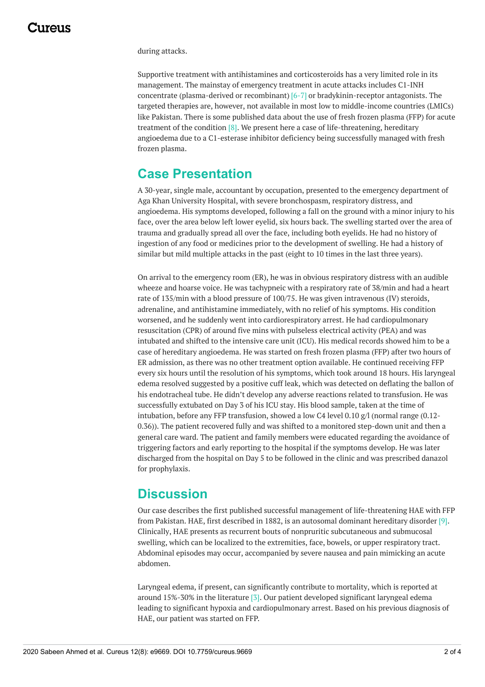during attacks.

Supportive treatment with antihistamines and corticosteroids has a very limited role in its management. The mainstay of emergency treatment in acute attacks includes C1-INH concentrate (plasma-derived or recombinant) [6-7] or bradykinin-receptor antagonists. The targeted therapies are, however, not available in most low to middle-income countries (LMICs) like Pakistan. There is some published data about the use of fresh frozen plasma (FFP) for acute treatment of the condition [8]. We present here a case of life-threatening, hereditary angioedema due to a C1-esterase inhibitor deficiency being successfully managed with fresh frozen plasma.

#### **Case Presentation**

A 30-year, single male, accountant by occupation, presented to the emergency department of Aga Khan University Hospital, with severe bronchospasm, respiratory distress, and angioedema. His symptoms developed, following a fall on the ground with a minor injury to his face, over the area below left lower eyelid, six hours back. The swelling started over the area of trauma and gradually spread all over the face, including both eyelids. He had no history of ingestion of any food or medicines prior to the development of swelling. He had a history of similar but mild multiple attacks in the past (eight to 10 times in the last three years).

On arrival to the emergency room (ER), he was in obvious respiratory distress with an audible wheeze and hoarse voice. He was tachypneic with a respiratory rate of 38/min and had a heart rate of 135/min with a blood pressure of 100/75. He was given intravenous (IV) steroids, adrenaline, and antihistamine immediately, with no relief of his symptoms. His condition worsened, and he suddenly went into cardiorespiratory arrest. He had cardiopulmonary resuscitation (CPR) of around five mins with pulseless electrical activity (PEA) and was intubated and shifted to the intensive care unit (ICU). His medical records showed him to be a case of hereditary angioedema. He was started on fresh frozen plasma (FFP) after two hours of ER admission, as there was no other treatment option available. He continued receiving FFP every six hours until the resolution of his symptoms, which took around 18 hours. His laryngeal edema resolved suggested by a positive cuff leak, which was detected on deflating the ballon of his endotracheal tube. He didn't develop any adverse reactions related to transfusion. He was successfully extubated on Day 3 of his ICU stay. His blood sample, taken at the time of intubation, before any FFP transfusion, showed a low C4 level 0.10  $g/l$  (normal range (0.12-0.36)). The patient recovered fully and was shifted to a monitored step-down unit and then a general care ward. The patient and family members were educated regarding the avoidance of triggering factors and early reporting to the hospital if the symptoms develop. He was later discharged from the hospital on Day 5 to be followed in the clinic and was prescribed danazol for prophylaxis.

#### **Discussion**

Our case describes the first published successful management of life-threatening HAE with FFP from Pakistan. HAE, first described in 1882, is an autosomal dominant hereditary disorder [9]. Clinically, HAE presents as recurrent bouts of nonpruritic subcutaneous and submucosal swelling, which can be localized to the extremities, face, bowels, or upper respiratory tract. Abdominal episodes may occur, accompanied by severe nausea and pain mimicking an acute abdomen.

Laryngeal edema, if present, can significantly contribute to mortality, which is reported at around 15%-30% in the literature [3]. Our patient developed significant laryngeal edema leading to significant hypoxia and cardiopulmonary arrest. Based on his previous diagnosis of HAE, our patient was started on FFP.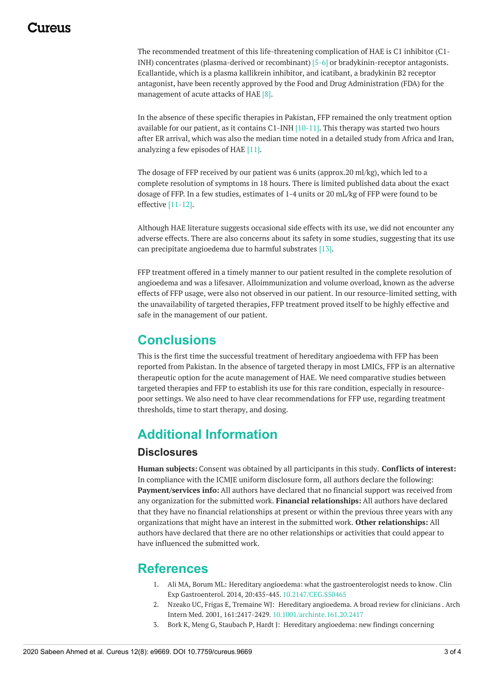#### 1174110

The recommended treatment of this life-threatening complication of HAE is C1 inhibitor (C1- INH) concentrates (plasma-derived or recombinant) [5-6] or bradykinin-receptor antagonists. Ecallantide, which is a plasma kallikrein inhibitor, and icatibant, a bradykinin B2 receptor antagonist, have been recently approved by the Food and Drug Administration (FDA) for the management of acute attacks of HAE [8].

In the absence of these specific therapies in Pakistan, FFP remained the only treatment option available for our patient, as it contains C1-INH [10-11]. This therapy was started two hours after ER arrival, which was also the median time noted in a detailed study from Africa and Iran, analyzing a few episodes of HAE [11].

The dosage of FFP received by our patient was 6 units (approx.20 ml/kg), which led to a complete resolution of symptoms in 18 hours. There is limited published data about the exact dosage of FFP. In a few studies, estimates of 1-4 units or 20 mL/kg of FFP were found to be effective [11-12].

Although HAE literature suggests occasional side effects with its use, we did not encounter any adverse effects. There are also concerns about its safety in some studies, suggesting that its use can precipitate angioedema due to harmful substrates [13].

FFP treatment offered in a timely manner to our patient resulted in the complete resolution of angioedema and was a lifesaver. Alloimmunization and volume overload, known as the adverse effects of FFP usage, were also not observed in our patient. In our resource-limited setting, with the unavailability of targeted therapies, FFP treatment proved itself to be highly effective and safe in the management of our patient.

### **Conclusions**

This is the first time the successful treatment of hereditary angioedema with FFP has been reported from Pakistan. In the absence of targeted therapy in most LMICs, FFP is an alternative therapeutic option for the acute management of HAE. We need comparative studies between targeted therapies and FFP to establish its use for this rare condition, especially in resourcepoor settings. We also need to have clear recommendations for FFP use, regarding treatment thresholds, time to start therapy, and dosing.

## **Additional Information**

#### **Disclosures**

**Human subjects:** Consent was obtained by all participants in this study. **Conflicts of interest:** In compliance with the ICMJE uniform disclosure form, all authors declare the following: **Payment/services info:** All authors have declared that no financial support was received from any organization for the submitted work. **Financial relationships:** All authors have declared that they have no financial relationships at present or within the previous three years with any organizations that might have an interest in the submitted work. **Other relationships:** All authors have declared that there are no other relationships or activities that could appear to have influenced the submitted work.

#### **References**

- 1. Ali MA, Borum ML: Hereditary angioedema: what the [gastroenterologist](https://dx.doi.org/10.2147/CEG.S50465?utm_medium=email&utm_source=transaction) needs to know. Clin Exp Gastroenterol. 2014, 20:435-445. [10.2147/CEG.S50465](https://dx.doi.org/10.2147/CEG.S50465?utm_medium=email&utm_source=transaction)
- 2. Nzeako UC, Frigas E, Tremaine WJ: Hereditary [angioedema.](https://dx.doi.org/10.1001/archinte.161.20.2417?utm_medium=email&utm_source=transaction) A broad review for clinicians . Arch Intern Med. 2001, 161:2417-2429. [10.1001/archinte.161.20.2417](https://dx.doi.org/10.1001/archinte.161.20.2417?utm_medium=email&utm_source=transaction)
- 3. Bork K, Meng G, Staubach P, Hardt J: Hereditary angioedema: new findings concerning